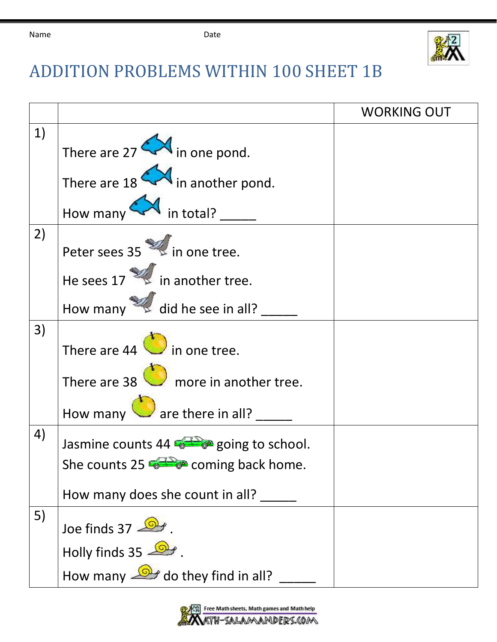| Name | Date |
|------|------|
|      |      |



## ADDITION PROBLEMS WITHIN 100 SHEET 1B

|    |                                                  | <b>WORKING OUT</b> |
|----|--------------------------------------------------|--------------------|
| 1) |                                                  |                    |
|    | There are $27 \rightarrow 10$ in one pond.       |                    |
|    | There are $18$ M in another pond.                |                    |
|    | How many $\leftarrow$ in total?                  |                    |
| 2) | Peter sees 35 in one tree.                       |                    |
|    | He sees $17$ $\approx$ in another tree.          |                    |
|    | How many $\mathbb{Z}$ did he see in all?         |                    |
| 3) | There are 44 in one tree.                        |                    |
|    | There are $38$ more in another tree.             |                    |
|    | How many $\bigcirc$ are there in all?            |                    |
| 4) | Jasmine counts 44 $\frac{1}{2}$ going to school. |                    |
|    | She counts 25 <b>12</b> coming back home.        |                    |
|    | How many does she count in all?                  |                    |
| 5) | Joe finds 37                                     |                    |
|    | Holly finds $35 - 2$                             |                    |
|    | How many $\mathbb{R}$ do they find in all?       |                    |